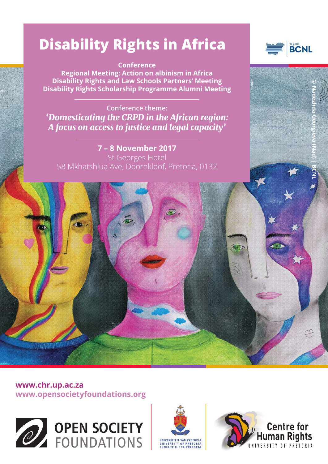# **Disability Rights in Africa**

**Conference Regional Meeting: Action on albinism in Africa Disability Rights and Law Schools Partners' Meeting Disability Rights Scholarship Programme Alumni Meeting** 

**Conference theme:** *'Domesticating the CRPD in the African region: A focus on access to justice and legal capacity'*

**7 – 8 November 2017**  St Georges Hotel 58 Mkhatshlua Ave, Doornkloof, Pretoria, 0132

 $\tilde{\mathcal{P}}$ 





**www.chr.up.ac.za www.opensocietyfoundations.org**

海洲禪職種







40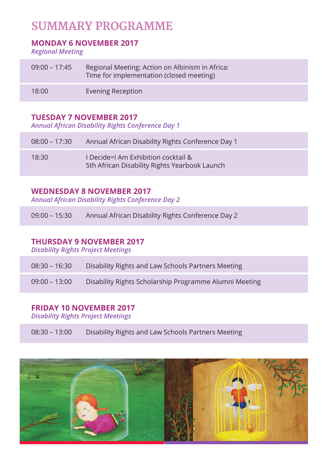# **SUMMARY PROGRAMME**

# **MONDAY 6 NOVEMBER 2017**

*Regional Meeting* 

| $09:00 - 17:45$ | Regional Meeting: Action on Albinism in Africa:<br>Time for implementation (closed meeting) |
|-----------------|---------------------------------------------------------------------------------------------|
| 18:00           | Evening Reception                                                                           |

# **TUESDAY 7 NOVEMBER 2017**

*Annual African Disability Rights Conference Day 1* 

| $08:00 - 17:30$ | Annual African Disability Rights Conference Day 1                                    |
|-----------------|--------------------------------------------------------------------------------------|
| 18:30           | I Decide=I Am Exhibition cocktail &<br>5th African Disability Rights Yearbook Launch |

# **WEDNESDAY 8 NOVEMBER 2017**

*Annual African Disability Rights Conference Day 2*

| $09:00 - 15:30$ | Annual African Disability Rights Conference Day 2 |  |
|-----------------|---------------------------------------------------|--|
|-----------------|---------------------------------------------------|--|

# **THURSDAY 9 NOVEMBER 2017**

*Disability Rights Project Meetings*

| $08:30 - 16:30$ | Disability Rights and Law Schools Partners Meeting |  |
|-----------------|----------------------------------------------------|--|
|                 |                                                    |  |

09:00 - 13:00 Disability Rights Scholarship Programme Alumni Meeting

# **FRIDAY 10 NOVEMBER 2017**

*Disability Rights Project Meetings*

08:30 – 13:00 Disability Rights and Law Schools Partners Meeting

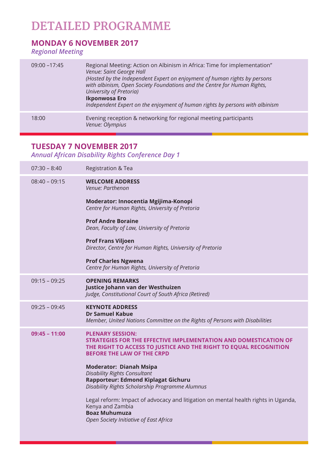# **DETAILED PROGRAMME**

# **MONDAY 6 NOVEMBER 2017**

*Regional Meeting*

| $09:00 - 17:45$ | Regional Meeting: Action on Albinism in Africa: Time for implementation"<br>Venue: Saint George Hall<br>(Hosted by the Independent Expert on enjoyment of human rights by persons<br>with albinism, Open Society Foundations and the Centre for Human Rights,<br>University of Pretoria)<br>Ikponwosa Ero<br>Independent Expert on the enjoyment of human rights by persons with albinism |
|-----------------|-------------------------------------------------------------------------------------------------------------------------------------------------------------------------------------------------------------------------------------------------------------------------------------------------------------------------------------------------------------------------------------------|
| 18:00           | Evening reception & networking for regional meeting participants<br>Venue: Olympius                                                                                                                                                                                                                                                                                                       |

# **TUESDAY 7 NOVEMBER 2017**

*Annual African Disability Rights Conference Day 1* 

| $07:30 - 8:40$  | Registration & Tea                                                                                                                                                                                                                                                                                                                                                              |
|-----------------|---------------------------------------------------------------------------------------------------------------------------------------------------------------------------------------------------------------------------------------------------------------------------------------------------------------------------------------------------------------------------------|
| $08:40 - 09:15$ | <b>WELCOME ADDRESS</b><br>Venue: Parthenon                                                                                                                                                                                                                                                                                                                                      |
|                 | Moderator: Innocentia Mgijima-Konopi<br>Centre for Human Rights, University of Pretoria                                                                                                                                                                                                                                                                                         |
|                 | <b>Prof Andre Boraine</b><br>Dean, Faculty of Law, University of Pretoria                                                                                                                                                                                                                                                                                                       |
|                 | <b>Prof Frans Viljoen</b><br>Director, Centre for Human Rights, University of Pretoria                                                                                                                                                                                                                                                                                          |
|                 | <b>Prof Charles Ngwena</b><br>Centre for Human Rights, University of Pretoria                                                                                                                                                                                                                                                                                                   |
| $09:15 - 09:25$ | <b>OPENING REMARKS</b><br>Justice Johann van der Westhuizen<br>Judge, Constitutional Court of South Africa (Retired)                                                                                                                                                                                                                                                            |
| $09:25 - 09:45$ | <b>KEYNOTE ADDRESS</b><br><b>Dr Samuel Kabue</b><br>Member, United Nations Committee on the Rights of Persons with Disabilities                                                                                                                                                                                                                                                 |
| $09:45 - 11:00$ | <b>PLENARY SESSION:</b><br><b>STRATEGIES FOR THE EFFECTIVE IMPLEMENTATION AND DOMESTICATION OF</b><br>THE RIGHT TO ACCESS TO JUSTICE AND THE RIGHT TO EQUAL RECOGNITION<br><b>BEFORE THE LAW OF THE CRPD</b><br><b>Moderator: Dianah Msipa</b><br><b>Disability Rights Consultant</b><br>Rapporteur: Edmond Kiplagat Gichuru<br>Disability Rights Scholarship Programme Alumnus |
|                 | Legal reform: Impact of advocacy and litigation on mental health rights in Uganda,<br>Kenya and Zambia<br><b>Boaz Muhumuza</b><br>Open Society Initiative of East Africa                                                                                                                                                                                                        |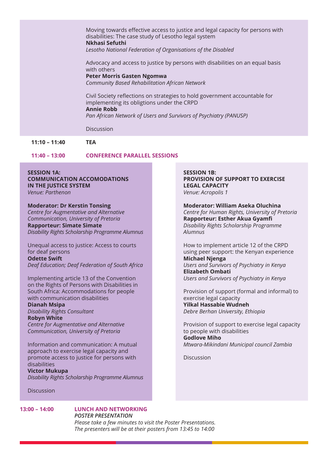Moving towards effective access to justice and legal capacity for persons with disabilities: The case study of Lesotho legal system **Nkhasi Sefuthi** *Lesotho National Federation of Organisations of the Disabled*

Advocacy and access to justice by persons with disabilities on an equal basis with others

### **Peter Morris Gasten Ngomwa**

*Community Based Rehabilitation African Network*

Civil Society reflections on strategies to hold government accountable for implementing its obligtions under the CRPD **Annie Robb** *Pan African Network of Users and Survivors of Psychiatry (PANUSP)*

**Discussion** 

**11:10 – 11:40 TEA** 

**11:40 – 13:00 CONFERENCE PARALLEL SESSIONS**

#### **SESSION 1A: COMMUNICATION ACCOMODATIONS IN THE IUSTICE SYSTEM** *Venue: Parthenon*

#### **Moderator: Dr Kerstin Tonsing**

*Centre for Augmentative and Alternative Communication, University of Pretoria* **Rapporteur: Simate Simate** *Disability Rights Scholarship Programme Alumnus*

Unequal access to justice: Access to courts for deaf persons **Odette Swift** *Deaf Education; Deaf Federation of South Africa*

Implementing article 13 of the Convention on the Rights of Persons with Disabilities in South Africa: Accommodations for people with communication disabilities

### **Dianah Msipa**

*Disability Rights Consultant* 

#### **Robyn White**

*Centre for Augmentative and Alternative Communication, University of Pretoria*

Information and communication: A mutual approach to exercise legal capacity and promote access to justice for persons with disabilities

**Victor Mukupa** *Disability Rights Scholarship Programme Alumnus*

#### **Discussion**

#### **13:00 – 14:00 LUNCH AND NETWORKING** *POSTER PRESENTATION*

*Please take a few minutes to visit the Poster Presentations. The presenters will be at their posters from 13:45 to 14:00*

**SESSION 1B: PROVISION OF SUPPORT TO EXERCISE LEGAL CAPACITY** *Venue: Acropolis 1*

**Moderator: William Aseka Oluchina** *Centre for Human Rights, University of Pretoria* **Rapporteur: Esther Akua Gyamfi** *Disability Rights Scholarship Programme Alumnus*

How to implement article 12 of the CRPD using peer support: the Kenyan experience **Michael Njenga** *Users and Survivors of Psychiatry in Kenya* **Elizabeth Ombati** *Users and Survivors of Psychiatry in Kenya*

Provision of support (formal and informal) to exercise legal capacity **Yilkal Hassabie Wudneh** *Debre Berhan University, Ethiopia*

Provision of support to exercise legal capacity to people with disabilities **Godlove Miho** *Mtwara-Mikindani Municipal council Zambia*

Discussion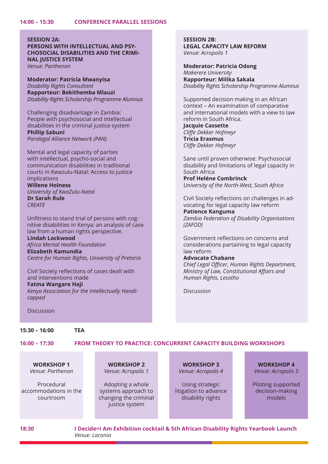# **SESSION 2A:**

**PERSONS WITH INTELLECTUAL AND PSY-CHOSOCIAL DISABILITIES AND THE CRIMI-NAL JUSTICE SYSTEM**

*Venue: Parthenon*

**Moderator: Patricia Mwanyisa** *Disability Rights Consultant* **Rapporteur: Bekithemba Mlauzi** *Disability Rights Scholarship Programme Alumnus*

Challenging disadvantage in Zambia: People with psychosocial and intellectual disabilities in the criminal justice system **Phillip Sabuni** *Paralegal Alliance Network (PAN)* 

Mental and legal capacity of parties with intellectual, psycho-social and communication disabilities in traditional courts in Kwazulu-Natal: Access to justice implications **Willene Holness** *University of KwaZulu-Natal*

**Dr Sarah Rule** *CREATE*

Unfitness to stand trial of persons with cognitive disabilities in Kenya: an analysis of case law from a human rights perspective.

**Lindah Lockwood** *Africa Mental Health Foundation* **Elizabeth Kamundia** *Centre for Human Rights, University of Pretoria*

Civil Society reflections of cases dealt with and interventions made **Fatma Wangare Haji**

*Kenya Association for the Intellectually Handicapped*

**SESSION 2B: LEGAL CAPACITY LAW REFORM** *Venue: Acropolis 1*

**Moderator: Patricia Odong** *Makerere University* **Rapporteur: Milika Sakala** *Disability Rights Scholarship Programme Alumnus*

Supported decision making in an African context – An examination of comparative and international models with a view to law reform in South Africa.

**Jacquie Cassette** *Cliffe Dekker Hofmeyr* **Tricia Erasmus** *Cliffe Dekker Hofmeyr*

Sane until proven otherwise: Psychosocial disability and limitations of legal capacity in South Africa

**Prof Heléne Combrinck** *University of the North-West, South Africa*

Civil Society reflections on challenges in advocating for legal capacity law reform **Patience Kanguma**

*Zambia Federation of Disability Organisations (ZAFOD)* 

Government reflections on concerns and considerations partaining to legal capacity law reform

#### **Advocate Chabane**

*Chief Legal Officer, Human Rights Department, Ministry of Law, Constitutional Affairs and Human Rights, Lesotho*

Discussion

Discussion

#### **15:30 – 16:00 TEA**

#### **16:00 – 17:30 FROM THEORY TO PRACTICE: CONCURRENT CAPACITY BUILDING WORKSHOPS**

**WORKSHOP 1**  *Venue: Parthenon*

Procedural accommodations in the courtroom

**WORKSHOP 2**  *Venue: Acropolis 1*

Adopting a whole systems approach to changing the criminal justice system

**WORKSHOP 3** *Venue: Acropolis 4*

Using strategic litigation to advance disability rights

**WORKSHOP 4** *Venue: Acropolis 5*

Piloting supported decision-making models

**18:30 I Decide=I Am Exhibition cocktail & 5th African Disability Rights Yearbook Launch** *Venue: Laconia*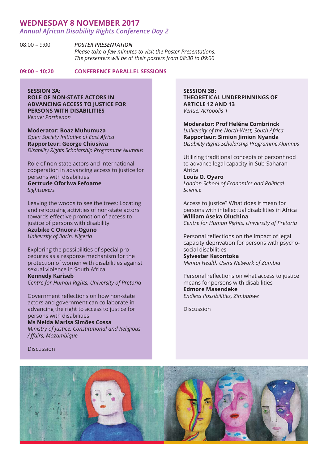### **WEDNESDAY 8 NOVEMBER 2017**

*Annual African Disability Rights Conference Day 2*

08:00 – 9:00 *POSTER PRESENTATION Please take a few minutes to visit the Poster Presentations. The presenters will be at their posters from 08:30 to 09:00*

**09:00 – 10:20 CONFERENCE PARALLEL SESSIONS**

#### **SESSION 3A:**

**ROLE OF NON-STATE ACTORS IN ADVANCING ACCESS TO JUSTICE FOR PERSONS WITH DISABILITIES** *Venue: Parthenon*

**Moderator: Boaz Muhumuza**  *Open Society Initiative of East Africa* **Rapporteur: George Chiusiwa** *Disability Rights Scholarship Programme Alumnus*

Role of non-state actors and international cooperation in advancing access to justice for persons with disabilities **Gertrude Oforiwa Fefoame** *Sightsavers* 

Leaving the woods to see the trees: Locating and refocusing activities of non-state actors towards effective promotion of access to justice of persons with disability

**Azubike C Onuora-Oguno** *University of Ilorin, Nigeria*

Exploring the possibilities of special procedures as a response mechanism for the protection of women with disabilities against sexual violence in South Africa

**Kennedy Kariseb**

*Centre for Human Rights, University of Pretoria*

Government reflections on how non-state actors and government can collaborate in advancing the right to access to justice for persons with disabilities

#### **Ms Nelda Marisa Simões Cossa**

*Ministry of Justice, Constitutional and Religious Affairs, Mozambique* 

Discussion

**SESSION 3B: THEORETICAL UNDERPINNINGS OF ARTICLE 12 AND 13** *Venue: Acropolis 1*

**Moderator: Prof Heléne Combrinck** *University of the North-West, South Africa* **Rapporteur: Simion Jimion Nyanda** *Disability Rights Scholarship Programme Alumnus*

Utilizing traditional concepts of personhood to advance legal capacity in Sub-Saharan Africa

**Louis O. Oyaro** *London School of Economics and Political Science*

Access to justice? What does it mean for persons with intellectual disabilities in Africa **William Aseka Oluchina** *Centre for Human Rights, University of Pretoria*

Personal reflections on the impact of legal capacity deprivation for persons with psychosocial disabilities

**Sylvester Katontoka** *Mental Health Users Network of Zambia*

Personal reflections on what access to justice means for persons with disabilities **Edmore Masendeke** *Endless Possibilities, Zimbabwe*

Discussion

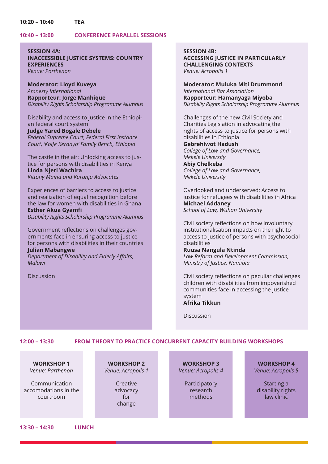#### **10:20 – 10:40 TEA**

#### **10:40 – 13:00 CONFERENCE PARALLEL SESSIONS**

**SESSION 4A: INACCESSIBLE JUSTICE SYSTEMS: COUNTRY EXPERIENCES** *Venue: Parthenon*

**Moderator: Lloyd Kuveya** *Amnesty International* **Rapporteur: Jorge Manhique** *Disability Rights Scholarship Programme Alumnus*

Disability and access to justice in the Ethiopian federal court system

**Judge Yared Bogale Debele** *Federal Supreme Court, Federal First Instance Court, 'Kolfe Keranyo' Family Bench, Ethiopia*

The castle in the air: Unlocking access to justice for persons with disabilities in Kenya **Linda Njeri Wachira** *Kittony Maina and Karanja Advocates*

Experiences of barriers to access to justice and realization of equal recognition before the law for women with disabilities in Ghana **Esther Akua Gyamfi**

*Disability Rights Scholarship Programme Alumnus*

Government reflections on challenges governments face in ensuring access to justice for persons with disabilities in their countries **Julian Mabangwe**

*Department of Disability and Elderly Affairs, Malawi*

Discussion

**SESSION 4B: ACCESSING JUSTICE IN PARTICULARLY CHALLENGING CONTEXTS**  *Venue: Acropolis 1*

**Moderator: Muluka Miti Drummond** *International Bar Association* **Rapporteur: Hamanyaga Miyoba** *Disability Rights Scholarship Programme Alumnus*

Challenges of the new Civil Society and Charities Legislation in advocating the rights of access to justice for persons with disabilities in Ethiopia **Gebrehiwot Hadush** *College of Law and Governance, Mekele University*

**Abiy Chelkeba** *College of Law and Governance, Mekele University*

Overlooked and underserved: Access to justice for refugees with disabilities in Africa **Michael Addaney** *School of Law, Wuhan University*

Civil society reflections on how involuntary institutionalisation impacts on the right to access to justice of persons with psychosocial disabilities

### **Ruusa Nangula Ntinda**

*Law Reform and Development Commission, Ministry of Justice, Namibia*

Civil society reflections on peculiar challenges children with disabilities from impoverished communities face in accessing the justice system **Afrika Tikkun**

Discussion

#### **12:00 – 13:30 FROM THEORY TO PRACTICE CONCURRENT CAPACITY BUILDING WORKSHOPS**

**WORKSHOP 1**  *Venue: Parthenon*

Communication accomodations in the courtroom

**WORKSHOP 2**  *Venue: Acropolis 1*

> **Creative** advocacy for change

**WORKSHOP 3** *Venue: Acropolis 4*

> Participatory research methods

**WORKSHOP 4** *Venue: Acropolis 5*

Starting a disability rights law clinic

**13:30 – 14:30 LUNCH**